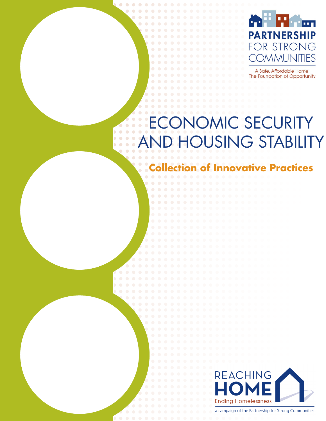

A Safe, Affordable Home: The Foundation of Opportunity

# ONOMIC SECURITY **HOUSING STABILITY**

 $\Box$ 

**Collection of Innovative Practices**



a campaign of the Partnership for Strong Communities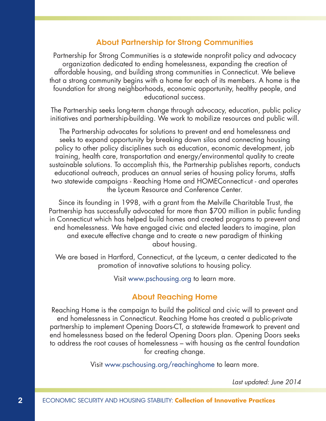#### About Partnership for Strong Communities

Partnership for Strong Communities is a statewide nonprofit policy and advocacy organization dedicated to ending homelessness, expanding the creation of affordable housing, and building strong communities in Connecticut. We believe that a strong community begins with a home for each of its members. A home is the foundation for strong neighborhoods, economic opportunity, healthy people, and educational success.

 The Partnership seeks long-term change through advocacy, education, public policy initiatives and partnership-building. We work to mobilize resources and public will.

The Partnership advocates for solutions to prevent and end homelessness and seeks to expand opportunity by breaking down silos and connecting housing policy to other policy disciplines such as education, economic development, job training, health care, transportation and energy/environmental quality to create sustainable solutions. To accomplish this, the Partnership publishes reports, conducts educational outreach, produces an annual series of housing policy forums, staffs two statewide campaigns - Reaching Home and HOMEConnecticut - and operates the Lyceum Resource and Conference Center.

 Since its founding in 1998, with a grant from the Melville Charitable Trust, the Partnership has successfully advocated for more than \$700 million in public funding in Connecticut which has helped build homes and created programs to prevent and end homelessness. We have engaged civic and elected leaders to imagine, plan and execute effective change and to create a new paradigm of thinking about housing.

 We are based in Hartford, Connecticut, at the Lyceum, a center dedicated to the promotion of innovative solutions to housing policy.

Visit [www.pschousing.org](http://pschousing.org) to learn more.

#### About Reaching Home

Reaching Home is the campaign to build the political and civic will to prevent and end homelessness in Connecticut. Reaching Home has created a public-private partnership to implement Opening Doors-CT, a statewide framework to prevent and end homelessness based on the federal Opening Doors plan. Opening Doors seeks to address the root causes of homelessness – with housing as the central foundation for creating change.

Visit [www.pschousing.org/reachinghome](http://pschousing.org/reachinghome) to learn more.

*Last updated: June 2014*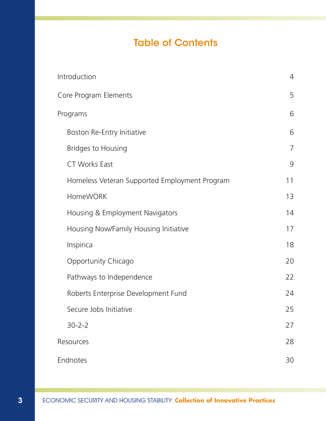## Table of Contents

| Introduction                                  | 4              |
|-----------------------------------------------|----------------|
| Core Program Elements                         | 5              |
| Programs                                      | 6              |
| Boston Re-Entry Initiative                    | 6              |
| <b>Bridges to Housing</b>                     | $\overline{7}$ |
| <b>CT Works East</b>                          | 9              |
| Homeless Veteran Supported Employment Program | 11             |
| <b>HomeWORK</b>                               | 13             |
| Housing & Employment Navigators               | 14             |
| Housing Now/Family Housing Initiative         | 17             |
| Inspirica                                     | 18             |
| Opportunity Chicago                           | 20             |
| Pathways to Independence                      | 22             |
| Roberts Enterprise Development Fund           | 24             |
| Secure Jobs Initiative                        | 25             |
| $30 - 2 - 2$                                  | 27             |
| Resources                                     | 28             |
| Endnotes                                      | 30             |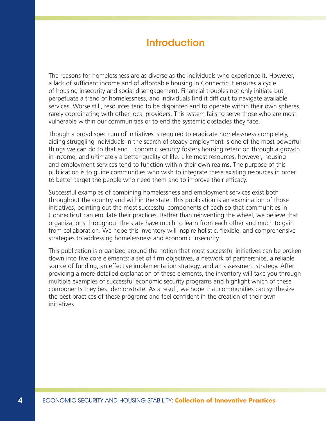### Introduction

The reasons for homelessness are as diverse as the individuals who experience it. However, a lack of sufficient income and of affordable housing in Connecticut ensures a cycle of housing insecurity and social disengagement. Financial troubles not only initiate but perpetuate a trend of homelessness, and individuals find it difficult to navigate available services. Worse still, resources tend to be disjointed and to operate within their own spheres, rarely coordinating with other local providers. This system fails to serve those who are most vulnerable within our communities or to end the systemic obstacles they face.

Though a broad spectrum of initiatives is required to eradicate homelessness completely, aiding struggling individuals in the search of steady employment is one of the most powerful things we can do to that end. Economic security fosters housing retention through a growth in income, and ultimately a better quality of life. Like most resources, however, housing and employment services tend to function within their own realms. The purpose of this publication is to guide communities who wish to integrate these existing resources in order to better target the people who need them and to improve their efficacy.

Successful examples of combining homelessness and employment services exist both throughout the country and within the state. This publication is an examination of those initiatives, pointing out the most successful components of each so that communities in Connecticut can emulate their practices. Rather than reinventing the wheel, we believe that organizations throughout the state have much to learn from each other and much to gain from collaboration. We hope this inventory will inspire holistic, flexible, and comprehensive strategies to addressing homelessness and economic insecurity.

This publication is organized around the notion that most successful initiatives can be broken down into five core elements: a set of firm objectives, a network of partnerships, a reliable source of funding, an effective implementation strategy, and an assessment strategy. After providing a more detailed explanation of these elements, the inventory will take you through multiple examples of successful economic security programs and highlight which of these components they best demonstrate. As a result, we hope that communities can synthesize the best practices of these programs and feel confident in the creation of their own initiatives.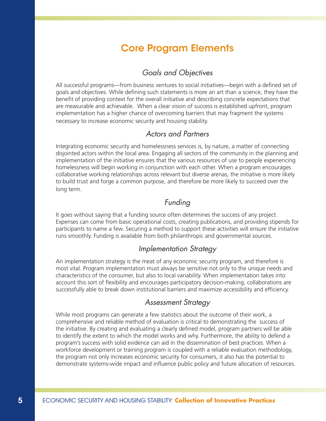### Core Program Elements

### *Goals and Objectives*

All successful programs—from business ventures to social initiatives—begin with a defined set of goals and objectives. While defining such statements is more an art than a science, they have the benefit of providing context for the overall initiative and describing concrete expectations that are measurable and achievable. When a clear vision of success is established upfront, program implementation has a higher chance of overcoming barriers that may fragment the systems necessary to increase economic security and housing stability.

#### *Actors and Partners*

Integrating economic security and homelessness services is, by nature, a matter of connecting disjointed actors within the local area. Engaging all sectors of the community in the planning and implementation of the initiative ensures that the various resources of use to people experiencing homelessness will begin working in conjunction with each other. When a program encourages collaborative working relationships across relevant but diverse arenas, the initiative is more likely to build trust and forge a common purpose, and therefore be more likely to succeed over the long term.

#### *Funding*

It goes without saying that a funding source often determines the success of any project. Expenses can come from basic operational costs, creating publications, and providing stipends for participants to name a few. Securing a method to support these activities will ensure the initiative runs smoothly. Funding is available from both philanthropic and governmental sources.

#### *Implementation Strategy*

An implementation strategy is the meat of any economic security program, and therefore is most vital. Program implementation must always be sensitive not only to the unique needs and characteristics of the consumer, but also to local variability. When implementation takes into account this sort of flexibility and encourages participatory decision-making, collaborations are successfully able to break down institutional barriers and maximize accessibility and efficiency.

#### *Assessment Strategy*

While most programs can generate a few statistics about the outcome of their work, a comprehensive and reliable method of evaluation is critical to demonstrating the success of the initiative. By creating and evaluating a clearly defined model, program partners will be able to identify the extent to which the model works and why. Furthermore, the ability to defend a program's success with solid evidence can aid in the dissemination of best practices. When a workforce development or training program is coupled with a reliable evaluation methodology, the program not only increases economic security for consumers, it also has the potential to demonstrate systems-wide impact and influence public policy and future allocation of resources.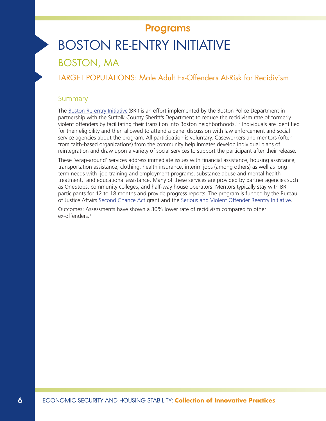# BOSTON RE-ENTRY INITIATIVE Programs

### BOSTON, MA

TARGET POPULATIONS: Male Adult Ex-Offenders At-Risk for Recidivism

#### Summary

The [Boston Re-entry Initiative](http://www.scsdma.org/programs/reentry/BRI.shtml) (BRI) is an effort implemented by the Boston Police Department in partnership with the Suffolk County Sheriff's Department to reduce the recidivism rate of formerly violent offenders by facilitating their transition into Boston neighborhoods.<sup>1,2</sup> Individuals are identified for their eligibility and then allowed to attend a panel discussion with law enforcement and social service agencies about the program. All participation is voluntary. Caseworkers and mentors (often from faith-based organizations) from the community help inmates develop individual plans of reintegration and draw upon a variety of social services to support the participant after their release.

These 'wrap-around' services address immediate issues with financial assistance, housing assistance, transportation assistance, clothing, health insurance, interim jobs (among others) as well as long term needs with job training and employment programs, substance abuse and mental health treatment, and educational assistance. Many of these services are provided by partner agencies such as OneStops, community colleges, and half-way house operators. Mentors typically stay with BRI participants for 12 to 18 months and provide progress reports. The program is funded by the Bureau of Justice Affairs [Second Chance Act](http://csgjusticecenter.org/nrrc/projects/second-chance-act/) grant and the [Serious and Violent Offender Reentry Initiative](https://www.crimesolutions.gov/ProgramDetails.aspx?ID=167).

Outcomes: Assessments have shown a 30% lower rate of recidivism compared to other ex-offenders.<sup>1</sup>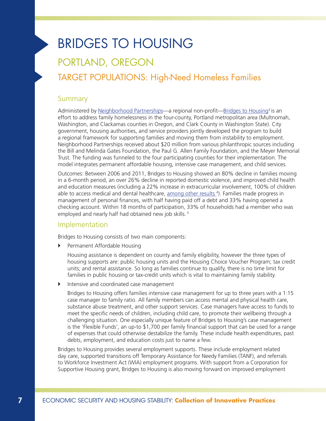# BRIDGES TO HOUSING

## PORTLAND, OREGON

### TARGET POPULATIONS: High-Need Homeless Families

#### Summary

Administered by [Neighborhood Partnerships](http://neighborhoodpartnerships.org/)—a regional non-profit—[Bridges to Housing](http://www.bridgestohousing.org/)<sup>3</sup> is an effort to address family homelessness in the four-county, Portland metropolitan area (Multnomah, Washington, and Clackamas counties in Oregon, and Clark County in Washington State). City government, housing authorities, and service providers jointly developed the program to build a regional framework for supporting families and moving them from instability to employment. Neighborhood Partnerships received about \$20 million from various philanthropic sources including the Bill and Melinda Gates Foundation, the Paul G. Allen Family Foundation, and the Meyer Memorial Trust. The funding was funneled to the four participating counties for their implementation. The model integrates permanent affordable housing, intensive case management, and child services.

Outcomes: Between 2006 and 2011, Bridges to Housing showed an 80% decline in families moving in a 6-month period, an over 26% decline in reported domestic violence, and improved child health and education measures (including a 22% increase in extracurricular involvement, 100% of children able to access medical and dental healthcare, [among other results](http://www.bridgestohousing.org/impacteval.php) <sup>4</sup>). Families made progress in management of personal finances, with half having paid off a debt and 33% having opened a checking account. Within 18 months of participation, 33% of households had a member who was employed and nearly half had obtained new job skills.<sup>5</sup>

#### Implementation

Bridges to Housing consists of two main components:

**•** Permanent Affordable Housing

Housing assistance is dependent on county and family eligibility, however the three types of housing supports are: public housing units and the Housing Choice Voucher Program; tax credit units; and rental assistance. So long as families continue to qualify, there is no time limit for families in public housing or tax-credit units which is vital to maintaining family stability.

` Intensive and coordinated case management

Bridges to Housing offers families intensive case management for up to three years with a 1:15 case manager to family ratio. All family members can access mental and physical health care, substance abuse treatment, and other support services. Case managers have access to funds to meet the specific needs of children, including child care, to promote their wellbeing through a challenging situation. One especially unique feature of Bridges to Housing's case management is the 'Flexible Funds', an up-to \$1,700 per family financial support that can be used for a range of expenses that could otherwise destabilize the family. These include health expenditures, past debts, employment, and education costs just to name a few.

Bridges to Housing provides several employment supports. These include employment related day care, supported transitions off Temporary Assistance for Needy Families (TANF), and referrals to Workforce Investment Act (WIA) employment programs. With support from a Corporation for Supportive Housing grant, Bridges to Housing is also moving forward on improved employment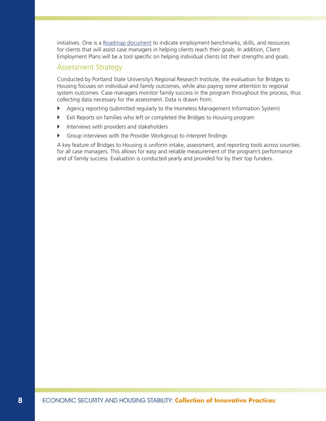initiatives. One is a Roadmap document to indicate employment benchmarks, skills, and resources for clients that will assist case managers in helping clients reach their goals. In addition, Client Employment Plans will be a tool specific on helping individual clients list their strengths and goals.

#### Assessment Strategy

Conducted by Portland State University's Regional Research Institute, the evaluation for Bridges to Housing focuses on individual and family outcomes, while also paying some attention to regional system outcomes. Case managers monitor family success in the program throughout the process, thus collecting data necessary for the assessment. Data is drawn from:

- ` Agency reporting (submitted regularly to the Homeless Management Information System)
- ` Exit Reports on families who left or completed the Bridges to Housing program
- $\blacktriangleright$  Interviews with providers and stakeholders
- ` Group interviews with the Provider Workgroup to interpret findings

A key feature of Bridges to Housing is uniform intake, assessment, and reporting tools across counties for all case managers. This allows for easy and reliable measurement of the program's performance and of family success. Evaluation is conducted yearly and provided for by their top funders.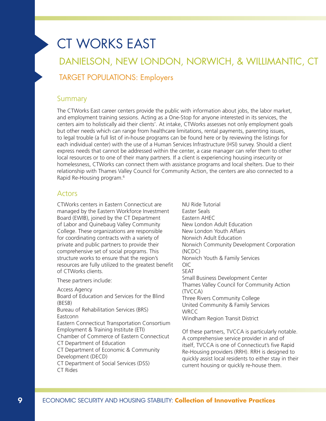# CT WORKS EAST

# DANIELSON, NEW LONDON, NORWICH, & WILLIMANTIC, CT TARGET POPULATIONS: Employers

#### **Summary**

The CTWorks East career centers provide the public with information about jobs, the labor market, and employment training sessions. Acting as a One-Stop for anyone interested in its services, the centers aim to holistically aid their clients'. At intake, CTWorks assesses not only employment goals but other needs which can range from healthcare limitations, rental payments, parenting issues, to legal trouble (a full list of in-house programs can be found here or by reviewing the listings for each individual center) with the use of a Human Services Infrastructure (HSI) survey. Should a client express needs that cannot be addressed within the center, a case manager can refer them to other local resources or to one of their many partners. If a client is experiencing housing insecurity or homelessness, CTWorks can connect them with assistance programs and local shelters. Due to their relationship with Thames Valley Council for Community Action, the centers are also connected to a Rapid Re-Housing program.6

#### Actors

CTWorks centers in Eastern Connecticut are managed by the Eastern Workforce Investment Board (EWIB), joined by the CT Department of Labor and Quinebaug Valley Community College. These organizations are responsible for coordinating contracts with a variety of private and public partners to provide their comprehensive set of social programs. This structure works to ensure that the region's resources are fully utilized to the greatest benefit of CTWorks clients.

These partners include:

Access Agency Board of Education and Services for the Blind (BESB) Bureau of Rehabilitation Services (BRS) **Eastconn** Eastern Connecticut Transportation Consortium Employment & Training Institute (ETI) Chamber of Commerce of Eastern Connecticut CT Department of Education CT Department of Economic & Community Development (DECD) CT Department of Social Services (DSS) CT Rides

NU Ride Tutorial Easter Seals Eastern AHEC New London Adult Education New London Youth Affairs Norwich Adult Education Norwich Community Development Corporation (NCDC) Norwich Youth & Family Services OIC SEAT Small Business Development Center Thames Valley Council for Community Action (TVCCA) Three Rivers Community College United Community & Family Services **WRCC** Windham Region Transit District

Of these partners, TVCCA is particularly notable. A comprehensive service provider in and of itself, TVCCA is one of Connecticut's five Rapid Re-Housing providers (RRH). RRH is designed to quickly assist local residents to either stay in their current housing or quickly re-house them.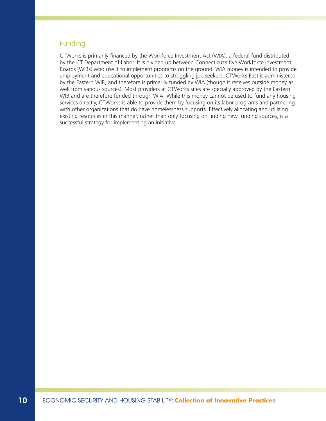#### Funding

CTWorks is primarily financed by the Workforce Investment Act (WIA), a federal fund distributed by the CT Department of Labor. It is divided up between Connecticut's five Workforce Investment Boards (WIBs) who use it to implement programs on the ground. WIA money is intended to provide employment and educational opportunities to struggling job seekers. CTWorks East is administered by the Eastern WIB, and therefore is primarily funded by WIA (though it receives outside money as well from various sources). Most providers at CTWorks sites are specially approved by the Eastern WIB and are therefore funded through WIA. While this money cannot be used to fund any housing services directly, CTWorks is able to provide them by focusing on its labor programs and partnering with other organizations that do have homelessness supports. Effectively allocating and utilizing existing resources in this manner, rather than only focusing on finding new funding sources, is a successful strategy for implementing an initiative.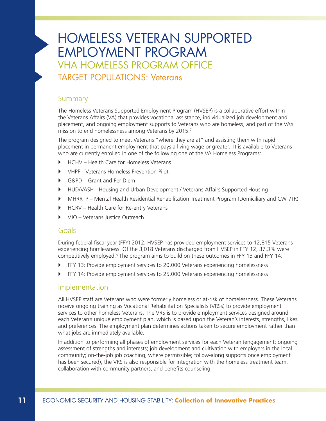# HOMELESS VETERAN SUPPORTED EMPLOYMENT PROGRAM VHA HOMELESS PROGRAM OFFICE

TARGET POPULATIONS: Veterans

#### **Summary**

The Homeless Veterans Supported Employment Program (HVSEP) is a collaborative effort within the Veterans Affairs (VA) that provides vocational assistance, individualized job development and placement, and ongoing employment supports to Veterans who are homeless, and part of the VA's mission to end homelessness among Veterans by 2015.<sup>7</sup>

The program designed to meet Veterans "where they are at" and assisting them with rapid placement in permanent employment that pays a living wage or greater. It is available to Veterans who are currently enrolled in one of the following one of the VA Homeless Programs:

- ▶ HCHV Health Care for Homeless Veterans
- ` VHPP Veterans Homeless Prevention Pilot
- G&PD Grant and Per Diem
- ` HUD/VASH Housing and Urban Development / Veterans Affairs Supported Housing
- ` MHRRTP Mental Health Residential Rehabilitation Treatment Program (Domiciliary and CWT/TR)
- ▶ HCRV Health Care for Re-entry Veterans
- ▶ VJO Veterans Justice Outreach

#### Goals

During federal fiscal year (FFY) 2012, HVSEP has provided employment services to 12,815 Veterans experiencing homlessness. Of the 3,018 Veterans discharged from HVSEP in FFY 12, 37.3% were competitively employed. $8$  The program aims to build on these outcomes in FFY 13 and FFY 14:

- ` FFY 13: Provide employment services to 20,000 Veterans experiencing homelessness
- ` FFY 14: Provide employment services to 25,000 Veterans experiencing homelessness

#### Implementation

All HVSEP staff are Veterans who were formerly homeless or at-risk of homelessness. These Veterans receive ongoing training as Vocational Rehabilitation Specialists (VRSs) to provide employment services to other homeless Veterans. The VRS is to provide employment services designed around each Veteran's unique employment plan, which is based upon the Veteran's interests, strengths, likes, and preferences. The employment plan determines actions taken to secure employment rather than what jobs are immediately available.

In addition to performing all phases of employment services for each Veteran (engagement; ongoing assessment of strengths and interests; job development and cultivation with employers in the local community; on-the-job job coaching, where permissible; follow-along supports once employment has been secured), the VRS is also responsible for integration with the homeless treatment team, collaboration with community partners, and benefits counseling.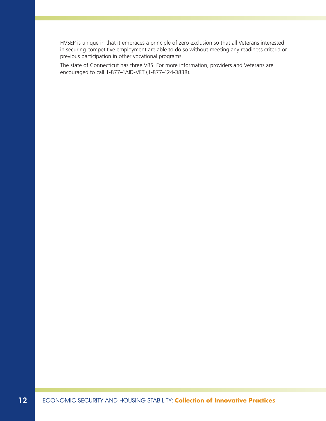HVSEP is unique in that it embraces a principle of zero exclusion so that all Veterans interested in securing competitive employment are able to do so without meeting any readiness criteria or previous participation in other vocational programs.

The state of Connecticut has three VRS. For more information, providers and Veterans are encouraged to call 1-877-4AID-VET (1-877-424-3838).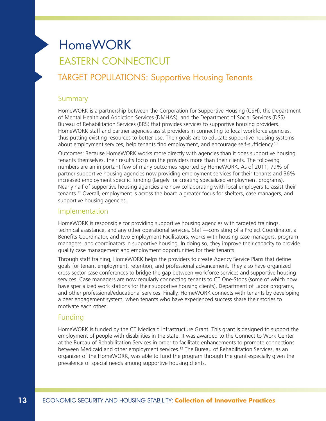# HomeWORK EASTERN CONNECTICUT

### TARGET POPULATIONS: Supportive Housing Tenants

#### **Summary**

HomeWORK is a partnership between the Corporation for Supportive Housing (CSH), the Department of Mental Health and Addiction Services (DMHAS), and the Department of Social Services (DSS) Bureau of Rehabilitation Services (BRS) that provides services to supportive housing providers. HomeWORK staff and partner agencies assist providers in connecting to local workforce agencies, thus putting existing resources to better use. Their goals are to educate supportive housing systems about employment services, help tenants find employment, and encourage self-sufficiency.10

Outcomes: Because HomeWORK works more directly with agencies than it does supportive housing tenants themselves, their results focus on the providers more than their clients. The following numbers are an important few of many outcomes reported by HomeWORK. As of 2011, 79% of partner supportive housing agencies now providing employment services for their tenants and 36% increased employment specific funding (largely for creating specialized employment programs). Nearly half of supportive housing agencies are now collaborating with local employers to assist their tenants.11 Overall, employment is across the board a greater focus for shelters, case managers, and supportive housing agencies.

#### Implementation

HomeWORK is responsible for providing supportive housing agencies with targeted trainings, technical assistance, and any other operational services. Staff—consisting of a Project Coordinator, a Benefits Coordinator, and two Employment Facilitators, works with housing case managers, program managers, and coordinators in supportive housing. In doing so, they improve their capacity to provide quality case management and employment opportunities for their tenants.

Through staff training, HomeWORK helps the providers to create Agency Service Plans that define goals for tenant employment, retention, and professional advancement. They also have organized cross-sector case conferences to bridge the gap between workforce services and supportive housing services. Case managers are now regularly connecting tenants to CT One-Stops (some of which now have specialized work stations for their supportive housing clients), Department of Labor programs, and other professional/educational services. Finally, HomeWORK connects with tenants by developing a peer engagement system, when tenants who have experienced success share their stories to motivate each other.

#### Funding

HomeWORK is funded by the CT Medicaid Infrastructure Grant. This grant is designed to support the employment of people with disabilities in the state. It was awarded to the Connect to Work Center at the Bureau of Rehabilitation Services in order to facilitate enhancements to promote connections between Medicaid and other employment services.12 The Bureau of Rehabilitation Services, as an organizer of the HomeWORK, was able to fund the program through the grant especially given the prevalence of special needs among supportive housing clients.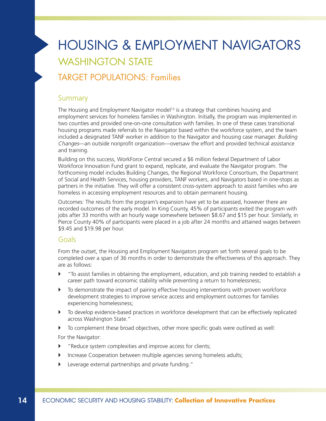# HOUSING & EMPLOYMENT NAVIGATORS WASHINGTON STATE

### TARGET POPULATIONS: Families

#### Summary

The Housing and Employment Navigator model<sup>13</sup> is a strategy that combines housing and employment services for homeless families in Washington. Initially, the program was implemented in two counties and provided one-on-one consultation with families. In one of these cases transitional housing programs made referrals to the Navigator based within the workforce system, and the team included a designated TANF worker in addition to the Navigator and housing case manager. Building Changes—an outside nonprofit organization—oversaw the effort and provided technical assistance and training.

Building on this success, WorkForce Central secured a \$6 million federal Department of Labor Workforce Innovation Fund grant to expand, replicate, and evaluate the Navigator program. The forthcoming model includes Building Changes, the Regional Workforce Consortium, the Department of Social and Health Services, housing providers, TANF workers, and Navigators based in one-stops as partners in the initiative. They will offer a consistent cross-system approach to assist families who are homeless in accessing employment resources and to obtain permanent housing.

Outcomes: The results from the program's expansion have yet to be assessed, however there are recorded outcomes of the early model. In King County, 45% of participants exited the program with jobs after 33 months with an hourly wage somewhere between \$8.67 and \$15 per hour. Similarly, in Pierce County 40% of participants were placed in a job after 24 months and attained wages between \$9.45 and \$19.98 per hour.

#### Goals

From the outset, the Housing and Employment Navigators program set forth several goals to be completed over a span of 36 months in order to demonstrate the effectiveness of this approach. They are as follows:

- ` "To assist families in obtaining the employment, education, and job training needed to establish a career path toward economic stability while preventing a return to homelessness;
- $\blacktriangleright$  To demonstrate the impact of pairing effective housing interventions with proven workforce development strategies to improve service access and employment outcomes for families experiencing homelessness;
- $\blacktriangleright$  To develop evidence-based practices in workforce development that can be effectively replicated across Washington State."
- ` To complement these broad objectives, other more specific goals were outlined as well: For the Navigator:
- $\blacktriangleright$  "Reduce system complexities and improve access for clients;
- ` Increase Cooperation between multiple agencies serving homeless adults;
- ` Leverage external partnerships and private funding."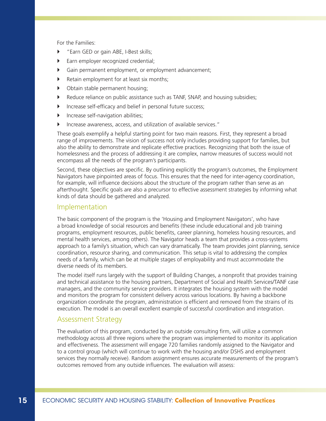For the Families:

- ` "Earn GED or gain ABE, I-Best skills;
- ` Earn employer recognized credential;
- ` Gain permanent employment, or employment advancement;
- $\blacktriangleright$  Retain employment for at least six months;
- $\triangleright$  Obtain stable permanent housing;
- **EXECUTE:** Reduce reliance on public assistance such as TANF, SNAP, and housing subsidies;
- ` Increase self-efficacy and belief in personal future success;
- **Increase self-navigation abilities;**
- ` Increase awareness, access, and utilization of available services."

These goals exemplify a helpful starting point for two main reasons. First, they represent a broad range of improvements. The vision of success not only includes providing support for families, but also the ability to demonstrate and replicate effective practices. Recognizing that both the issue of homelessness and the process of addressing it are complex, narrow measures of success would not encompass all the needs of the program's participants.

Second, these objectives are specific. By outlining explicitly the program's outcomes, the Employment Navigators have pinpointed areas of focus. This ensures that the need for inter-agency coordination, for example, will influence decisions about the structure of the program rather than serve as an afterthought. Specific goals are also a precursor to effective assessment strategies by informing what kinds of data should be gathered and analyzed.

#### Implementation

The basic component of the program is the 'Housing and Employment Navigators', who have a broad knowledge of social resources and benefits (these include educational and job training programs, employment resources, public benefits, career planning, homeless housing resources, and mental health services, among others). The Navigator heads a team that provides a cross-systems approach to a family's situation, which can vary dramatically. The team provides joint planning, service coordination, resource sharing, and communication. This setup is vital to addressing the complex needs of a family, which can be at multiple stages of employability and must accommodate the diverse needs of its members.

The model itself runs largely with the support of Building Changes, a nonprofit that provides training and technical assistance to the housing partners, Department of Social and Health Services/TANF case managers, and the community service providers. It integrates the housing system with the model and monitors the program for consistent delivery across various locations. By having a backbone organization coordinate the program, administration is efficient and removed from the strains of its execution. The model is an overall excellent example of successful coordination and integration.

#### Assessment Strategy

The evaluation of this program, conducted by an outside consulting firm, will utilize a common methodology across all three regions where the program was implemented to monitor its application and effectiveness. The assessment will engage 720 families randomly assigned to the Navigator and to a control group (which will continue to work with the housing and/or DSHS and employment services they normally receive). Random assignment ensures accurate measurements of the program's outcomes removed from any outside influences. The evaluation will assess: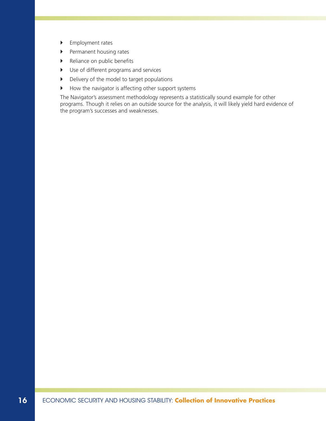- **Employment rates**
- **Permanent housing rates**
- $\blacktriangleright$  Reliance on public benefits
- $\blacktriangleright$  Use of different programs and services
- $\triangleright$  Delivery of the model to target populations
- $\blacktriangleright$  How the navigator is affecting other support systems

The Navigator's assessment methodology represents a statistically sound example for other programs. Though it relies on an outside source for the analysis, it will likely yield hard evidence of the program's successes and weaknesses.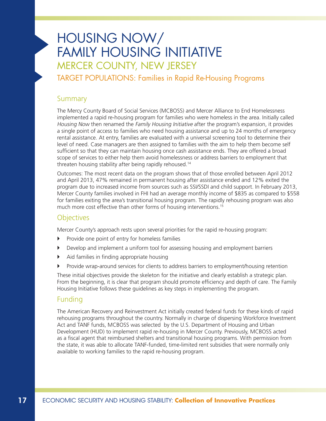# HOUSING NOW/ FAMILY HOUSING INITIATIVE MERCER COUNTY, NEW JERSEY

TARGET POPULATIONS: Families in Rapid Re-Housing Programs

#### **Summary**

The Mercy County Board of Social Services (MCBOSS) and Mercer Alliance to End Homelessness implemented a rapid re-housing program for families who were homeless in the area. Initially called Housing Now then renamed the Family Housing Initiative after the program's expansion, it provides a single point of access to families who need housing assistance and up to 24 months of emergency rental assistance. At entry, families are evaluated with a universal screening tool to determine their level of need. Case managers are then assigned to families with the aim to help them become self sufficient so that they can maintain housing once cash assistance ends. They are offered a broad scope of services to either help them avoid homelessness or address barriers to employment that threaten housing stability after being rapidly rehoused.14

Outcomes: The most recent data on the program shows that of those enrolled between April 2012 and April 2013, 47% remained in permanent housing after assistance ended and 12% exited the program due to increased income from sources such as SSI/SSDI and child support. In February 2013, Mercer County families involved in FHI had an average monthly income of \$835 as compared to \$558 for families exiting the area's transitional housing program. The rapidly rehousing program was also much more cost effective than other forms of housing interventions.<sup>15</sup>

#### **Objectives**

Mercer County's approach rests upon several priorities for the rapid re-housing program:

- $\triangleright$  Provide one point of entry for homeless families
- ` Develop and implement a uniform tool for assessing housing and employment barriers
- $\blacktriangleright$  Aid families in finding appropriate housing
- ` Provide wrap-around services for clients to address barriers to employment/housing retention

These initial objectives provide the skeleton for the initiative and clearly establish a strategic plan. From the beginning, it is clear that program should promote efficiency and depth of care. The Family Housing Initiative follows these guidelines as key steps in implementing the program.

#### Funding

The American Recovery and Reinvestment Act initially created federal funds for these kinds of rapid rehousing programs throughout the country. Normally in charge of dispersing Workforce Investment Act and TANF funds, MCBOSS was selected by the U.S. Department of Housing and Urban Development (HUD) to implement rapid re-housing in Mercer County. Previously, MCBOSS acted as a fiscal agent that reimbursed shelters and transitional housing programs. With permission from the state, it was able to allocate TANF-funded, time-limited rent subsidies that were normally only available to working families to the rapid re-housing program.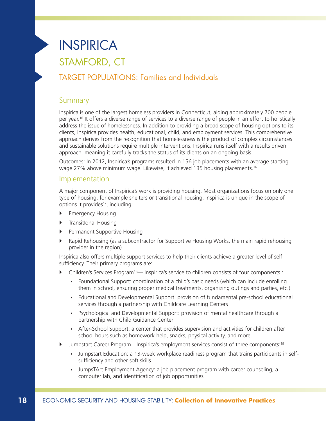# INSPIRICA

# STAMFORD, CT

### TARGET POPULATIONS: Families and Individuals

#### Summary

Inspirica is one of the largest homeless providers in Connecticut, aiding approximately 700 people per year.16 It offers a diverse range of services to a diverse range of people in an effort to holistically address the issue of homelessness. In addition to providing a broad scope of housing options to its clients, Inspirica provides health, educational, child, and employment services. This comprehensive approach derives from the recognition that homelessness is the product of complex circumstances and sustainable solutions require multiple interventions. Inspirica runs itself with a results driven approach, meaning it carefully tracks the status of its clients on an ongoing basis.

Outcomes: In 2012, Inspirica's programs resulted in 156 job placements with an average starting wage 27% above minimum wage. Likewise, it achieved 135 housing placements.16

#### Implementation

A major component of Inspirica's work is providing housing. Most organizations focus on only one type of housing, for example shelters or transitional housing. Inspirica is unique in the scope of options it provides<sup>17</sup>, including:

- ` Emergency Housing
- $\blacktriangleright$  TransitIonal Housing
- ` Permanent Supportive Housing
- $\blacktriangleright$  Rapid Rehousing (as a subcontractor for Supportive Housing Works, the main rapid rehousing provider in the region)

Inspirica also offers multiple support services to help their clients achieve a greater level of self sufficiency. Their primary programs are:

- ` Children's Services Program18— Inspirica's service to children consists of four components :
	- **EXECT FOUNDER IN SUPPORT:** coordination of a child's basic needs (which can include enrolling them in school, ensuring proper medical treatments, organizing outings and parties, etc.)
	- $\rightarrow$  Educational and Developmental Support: provision of fundamental pre-school educational services through a partnership with Childcare Learning Centers
	- $\rightarrow$  Psychological and Developmental Support: provision of mental healthcare through a partnership with Child Guidance Center
	- $\rightarrow$  After-School Support: a center that provides supervision and activities for children after school hours such as homework help, snacks, physical activity, and more.
- ` Jumpstart Career Program—Inspirica's employment services consist of three components:19
	- Iumpstart Education: a 13-week workplace readiness program that trains participants in selfsufficiency and other soft skills
	- $\rightarrow$  JumpsTArt Employment Agency: a job placement program with career counseling, a computer lab, and identification of job opportunities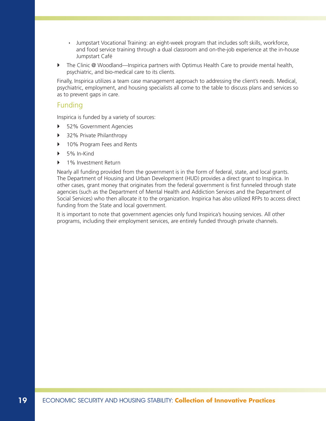- **I** Jumpstart Vocational Training: an eight-week program that includes soft skills, workforce, and food service training through a dual classroom and on-the-job experience at the in-house Jumpstart Café
- ▶ The Clinic @ Woodland—Inspirica partners with Optimus Health Care to provide mental health, psychiatric, and bio-medical care to its clients.

Finally, Inspirica utilizes a team case management approach to addressing the client's needs. Medical, psychiatric, employment, and housing specialists all come to the table to discuss plans and services so as to prevent gaps in care.

#### Funding

Inspirica is funded by a variety of sources:

- ▶ 52% Government Agencies
- ` 32% Private Philanthropy
- ▶ 10% Program Fees and Rents
- $\triangleright$  5% In-Kind
- 1% Investment Return

Nearly all funding provided from the government is in the form of federal, state, and local grants. The Department of Housing and Urban Development (HUD) provides a direct grant to Inspirica. In other cases, grant money that originates from the federal government is first funneled through state agencies (such as the Department of Mental Health and Addiction Services and the Department of Social Services) who then allocate it to the organization. Inspirica has also utilized RFPs to access direct funding from the State and local government.

It is important to note that government agencies only fund Inspirica's housing services. All other programs, including their employment services, are entirely funded through private channels.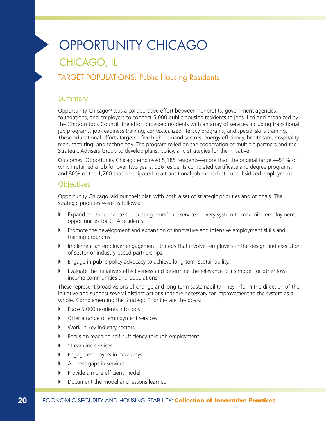# OPPORTUNITY CHICAGO CHICAGO, IL

### TARGET POPULATIONS: Public Housing Residents

#### **Summary**

Opportunity Chicago<sup>20</sup> was a collaborative effort between nonprofits, government agencies, foundations, and employers to connect 5,000 public housing residents to jobs. Led and organized by the Chicago Jobs Council, the effort provided residents with an array of services including transitional job programs, job-readiness training, contextualized literacy programs, and special skills training. These educational efforts targeted five high-demand sectors: energy efficiency, healthcare, hospitality, manufacturing, and technology. The program relied on the cooperation of multiple partners and the Strategic Advisers Group to develop plans, policy, and strategies for the initiative.

Outcomes: Opportunity Chicago employed 5,185 residents—more than the original target—54% of which retained a job for over two years. 926 residents completed certificate and degree programs, and 80% of the 1,260 that participated in a transitional job moved into unsubsidized employment.

#### **Objectives**

Opportunity Chicago laid out their plan with both a set of strategic priorities and of goals. The strategic priorities were as follows:

- ` Expand and/or enhance the existing workforce service delivery system to maximize employment opportunities for CHA residents.
- $\blacktriangleright$  Promote the development and expansion of innovative and intensive employment skills and training programs.
- $\blacktriangleright$  Implement an employer engagement strategy that involves employers in the design and execution of sector or industry-based partnerships.
- $\blacktriangleright$  Engage in public policy advocacy to achieve long-term sustainability.
- $\blacktriangleright$  Evaluate the initiative's effectiveness and determine the relevance of its model for other lowincome communities and populations.

These represent broad visions of change and long term sustainability. They inform the direction of the initiative and suggest several distinct actions that are necessary for improvement to the system as a whole. Complementing the Strategic Priorities are the goals:

- Place 5,000 residents into jobs
- $\triangleright$  Offer a range of employment services
- ▶ Work in key industry sectors
- $\triangleright$  Focus on reaching self-sufficiency through employment
- $\blacktriangleright$  Streamline services
- $\blacktriangleright$  Engage employers in new ways
- $\blacktriangleright$  Address gaps in services
- $\blacktriangleright$  Provide a more efficient model
- ` Document the model and lessons learned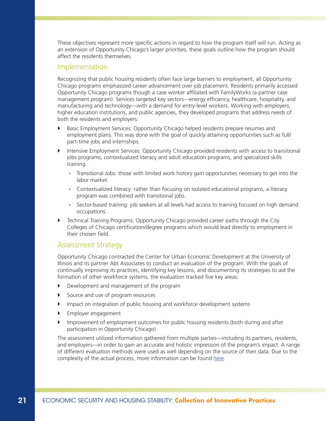These objectives represent more specific actions in regard to how the program itself will run. Acting as an extension of Opportunity Chicago's larger priorities, these goals outline how the program should affect the residents themselves.

#### Implementation

Recognizing that public housing residents often face large barriers to employment, all Opportunity Chicago programs emphasized career advancement over job placement. Residents primarily accessed Opportunity Chicago programs though a case worker affiliated with FamilyWorks (a partner case management program). Services targeted key sectors—energy efficiency, healthcare, hospitality, and manufacturing and technology—with a demand for entry-level workers. Working with employers, higher education institutions, and public agencies, they developed programs that address needs of both the residents and employers:

- **EXECO EMPLOYMENT SERVICES:** Opportunity Chicago helped residents prepare resumes and employment plans. This was done with the goal of quickly attaining opportunities such as full/ part-time jobs and internships.
- ` Intensive Employment Services: Opportunity Chicago provided residents with access to transitional jobs programs, contextualized literacy and adult education programs, and specialized skills training.
	- Transitional Jobs: those with limited work history gain opportunities necessary to get into the labor market.
	- $\cdot$  Contextualized literacy: rather than focusing on isolated educational programs, a literacy program was combined with transitional jobs.
	- $\rightarrow$  Sector-based training: job seekers at all levels had access to training focused on high demand occupations.
- ` Technical Training Programs: Opportunity Chicago provided career paths through the City Colleges of Chicago certification/degree programs which would lead directly to employment in their chosen field.

#### Assessment Strategy

Opportunity Chicago contracted the Center for Urban Economic Development at the University of Illinois and its partner Abt Associates to conduct an evaluation of the program. With the goals of continually improving its practices, identifying key lessons, and documenting its strategies to aid the formation of other workforce systems, the evaluation tracked five key areas:

- Development and management of the program
- Source and use of program resources
- ` Impact on integration of public housing and workforce development systems
- **Employer engagement**
- ` Improvement of employment outcomes for public housing residents (both during and after participation in Opportunity Chicago)

The assessment utilized information gathered from multiple parties—including its partners, residents, and employers—in order to gain an accurate and holistic impression of the program's impact. A range of different evaluation methods were used as well depending on the source of their data. Due to the complexity of the actual process, more information can be found [here.](http://cjc.net/wp-content/uploads/2012/06/OC-Evaluation_July2012.pdf)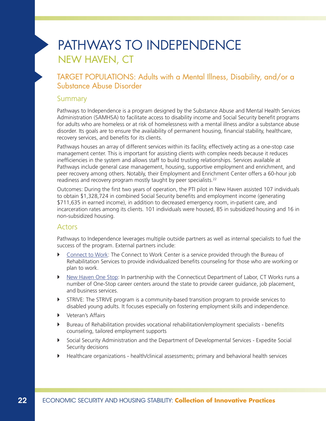# PATHWAYS TO INDEPENDENCE NEW HAVEN, CT

#### TARGET POPULATIONS: Adults with a Mental Illness, Disability, and/or a Substance Abuse Disorder

#### **Summary**

Pathways to Independence is a program designed by the Substance Abuse and Mental Health Services Administration (SAMHSA) to facilitate access to disability income and Social Security benefit programs for adults who are homeless or at risk of homelessness with a mental illness and/or a substance abuse disorder. Its goals are to ensure the availability of permanent housing, financial stability, healthcare, recovery services, and benefits for its clients.

Pathways houses an array of different services within its facility, effectively acting as a one-stop case management center. This is important for assisting clients with complex needs because it reduces inefficiencies in the system and allows staff to build trusting relationships. Services available at Pathways include general case management, housing, supportive employment and enrichment, and peer recovery among others. Notably, their Employment and Enrichment Center offers a 60-hour job readiness and recovery program mostly taught by peer specialists.<sup>22</sup>

Outcomes: During the first two years of operation, the PTI pilot in New Haven assisted 107 individuals to obtain \$1,328,724 in combined Social Security benefits and employment income (generating \$711,635 in earned income), in addition to decreased emergency room, in-patient care, and incarceration rates among its clients. 101 individuals were housed, 85 in subsidized housing and 16 in non-subsidized housing.

#### **Actors**

Pathways to Independence leverages multiple outside partners as well as internal specialists to fuel the success of the program. External partners include:

- **EX [Connect to Work:](http://www.ct.gov/brs/cwp/view.asp?a=3890&q=456868) The Connect to Work Center is a service provided through the Bureau of** Rehabilitation Services to provide individualized benefits counseling for those who are working or plan to work.
- **[New Haven One Stop:](http://www.workforcealliance.biz/) In partnership with the Connecticut Department of Labor, CT Works runs a** number of One-Stop career centers around the state to provide career guidance, job placement, and business services.
- **THE STRIVE: The STRIVE program is a community-based transition program to provide services to** disabled young adults. It focuses especially on fostering employment skills and independence.
- **D** Veteran's Affairs
- ` Bureau of Rehabilitation provides vocational rehabilitation/employment specialists benefits counseling, tailored employment supports
- ` Social Security Administration and the Department of Developmental Services Expedite Social Security decisions
- ` Healthcare organizations health/clinical assessments; primary and behavioral health services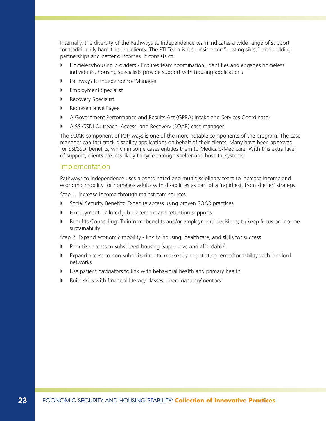Internally, the diversity of the Pathways to Independence team indicates a wide range of support for traditionally hard-to-serve clients. The PTI Team is responsible for "busting silos," and building partnerships and better outcomes. It consists of:

- ` Homeless/housing providers Ensures team coordination, identifies and engages homeless individuals, housing specialists provide support with housing applications
- **•** Pathways to Independence Manager
- **Employment Specialist**
- **Recovery Specialist**
- **Representative Payee**
- ` A Government Performance and Results Act (GPRA) Intake and Services Coordinator
- ` A SSI/SSDI Outreach, Access, and Recovery (SOAR) case manager

The SOAR component of Pathways is one of the more notable components of the program. The case manager can fast track disability applications on behalf of their clients. Many have been approved for SSI/SSDI benefits, which in some cases entitles them to Medicaid/Medicare. With this extra layer of support, clients are less likely to cycle through shelter and hospital systems.

#### Implementation

Pathways to Independence uses a coordinated and multidisciplinary team to increase income and economic mobility for homeless adults with disabilities as part of a 'rapid exit from shelter' strategy:

Step 1. Increase income through mainstream sources

- ` Social Security Benefits: Expedite access using proven SOAR practices
- ` Employment: Tailored job placement and retention supports
- ` Benefits Counseling: To inform 'benefits and/or employment' decisions; to keep focus on income sustainability

Step 2. Expand economic mobility - link to housing, healthcare, and skills for success

- ` Prioritize access to subsidized housing (supportive and affordable)
- $\blacktriangleright$  Expand access to non-subsidized rental market by negotiating rent affordability with landlord networks
- Use patient navigators to link with behavioral health and primary health
- ` Build skills with financial literacy classes, peer coaching/mentors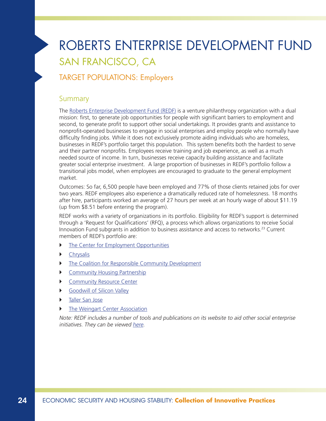# ROBERTS ENTERPRISE DEVELOPMENT FUND SAN FRANCISCO, CA

### TARGET POPULATIONS: Employers

#### **Summary**

The [Roberts Enterprise Development Fund \(REDF\)](http://www.redf.org/) is a venture philanthropy organization with a dual mission: first, to generate job opportunities for people with significant barriers to employment and second, to generate profit to support other social undertakings. It provides grants and assistance to nonprofit-operated businesses to engage in social enterprises and employ people who normally have difficulty finding jobs. While it does not exclusively promote aiding individuals who are homeless, businesses in REDF's portfolio target this population. This system benefits both the hardest to serve and their partner nonprofits. Employees receive training and job experience, as well as a much needed source of income. In turn, businesses receive capacity building assistance and facilitate greater social enterprise investment. A large proportion of businesses in REDF's portfolio follow a transitional jobs model, when employees are encouraged to graduate to the general employment market.

Outcomes: So far, 6,500 people have been employed and 77% of those clients retained jobs for over two years. REDF employees also experience a dramatically reduced rate of homelessness. 18 months after hire, participants worked an average of 27 hours per week at an hourly wage of about \$11.19 (up from \$8.51 before entering the program).

REDF works with a variety of organizations in its portfolio. Eligibility for REDF's support is determined through a 'Request for Qualifications' (RFQ), a process which allows organizations to receive Social Innovation Fund subgrants in addition to business assistance and access to networks.23 Current members of REDF's portfolio are:

- $\triangleright$  [The Center for Employment Opportunities](http://ceoworks.org/)
- **[Chrysalis](http://www.changelives.org/)**
- $\triangleright$  [The Coalition for Responsible Community Development](http://www.coalitionrcd.org/)
- **[Community Housing Partnership](http://www.chp-sf.org/)**
- ` [Community Resource Center](http://www.communityresourcecenter.org/)
- **•** [Goodwill of Silicon Valley](http://www.goodwillsv.org/)
- ` [Taller San Jose](http://www.tallersanjose.org/)
- [The Weingart Center Association](http://weingart.org/)

Note: REDF includes a number of tools and publications on its website to aid other social enterprise initiatives. They can be viewed [here](http://www.redf.org/learn-from-redf).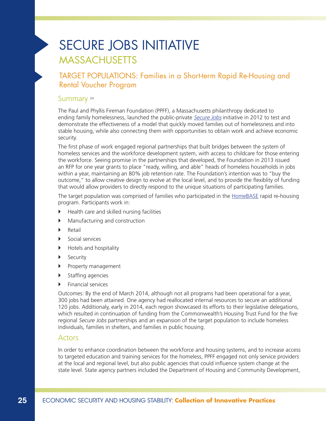# SECURE JOBS INITIATIVE MASSACHUSETTS

TARGET POPULATIONS: Families in a Short-term Rapid Re-Housing and Rental Voucher Program

#### Summary 24

The Paul and Phyllis Fireman Foundation (PPFF), a Massachusetts philanthropy dedicated to ending family homelessness, launched the public-private [Secure Jobs](http://usich.gov/blog/fireman-foundation) initiative in 2012 to test and demonstrate the effectiveness of a model that quickly moved families out of homelessness and into stable housing, while also connecting them with opportunities to obtain work and achieve economic security.

The first phase of work engaged regional partnerships that built bridges between the system of homeless services and the workforce development system, with access to childcare for those entering the workforce. Seeing promise in the partnerships that developed, the Foundation in 2013 issued an RFP for one year grants to place "ready, willing, and able" heads of homeless households in jobs within a year, maintaining an 80% job retention rate. The Foundation's intention was to "buy the outcome," to allow creative design to evolve at the local level, and to provide the flexiblity of funding that would allow providers to directly respond to the unique situations of participating families.

The target population was comprised of families who participated in the [HomeBASE](http://www.haphousing.org/default/index.cfm/avoid-homelessness/homelessness-initiatives/) rapid re-housing program. Participants work in:

- $\blacktriangleright$  Health care and skilled nursing facilities
- $\blacktriangleright$  Manufacturing and construction
- $\blacktriangleright$  Retail
- $\blacktriangleright$  Social services
- **•** Hotels and hospitality
- **B** Security
- **Property management**
- $\triangleright$  Staffing agencies
- $\blacktriangleright$  Financial services

Outcomes: By the end of March 2014, although not all programs had been operational for a year, 300 jobs had been attained. One agency had reallocated internal resources to secure an additional 120 jobs. Additionaly, early in 2014, each region showcased its efforts to their legislative delegations, which resulted in continuation of funding from the Commonwealth's Housing Trust Fund for the five regional Secure Jobs partnerships and an expansion of the target population to include homeless individuals, families in shelters, and families in public housing.

#### Actors

In order to enhance coordination between the workforce and housing systems, and to increase access to targeted education and training services for the homeless, PPFF engaged not only service providers at the local and regional level, but also public agencies that could influence system change at the state level. State agency partners included the Department of Housing and Community Development,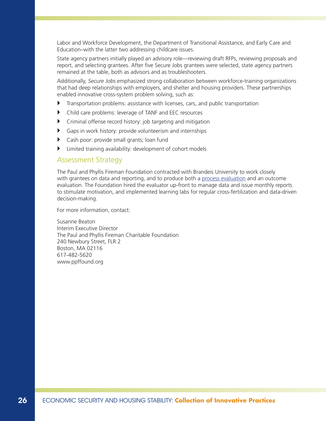Labor and Workforce Development, the Department of Transitional Assistance, and Early Care and Education–with the latter two addressing childcare issues.

State agency partners initially played an advisory role—reviewing draft RFPs, reviewing proposals and report, and selecting grantees. After five Secure Jobs grantees were selected, state agency partners remained at the table, both as advisors and as troubleshooters.

Additionally, Secure Jobs emphasized strong collaboration between workforce-training organizations that had deep relationships with employers, and shelter and housing providers. These partnerships enabled innovative cross-system problem solving, such as:

- $\blacktriangleright$  Transportation problems: assistance with licenses, cars, and public transportation
- ` Child care problems: leverage of TANF and EEC resources
- $\triangleright$  Criminal offense record history: job targeting and mitigation
- $\triangleright$  Gaps in work history: provide volunteerism and internships
- $\triangleright$  Cash poor: provide small grants; loan fund
- ` Limited training availability: development of cohort models

#### Assessment Strategy

The Paul and Phyllis Fireman Foundation contracted with Brandeis University to work closely with grantees on data and reporting, and to produce both a [process evaluation](http://iasp.brandeis.edu/pdfs/2013/Fireman.pdf) and an outcome evaluation. The Foundation hired the evaluator up-front to manage data and issue monthly reports to stimulate motivation, and implemented learning labs for regular cross-fertilization and data-driven decision-making.

For more information, contact:

Susanne Beaton Interim Executive Director The Paul and Phyllis Fireman Charitable Foundation 240 Newbury Street, FLR 2 Boston, MA 02116 617-482-5620 <www.ppffound.org>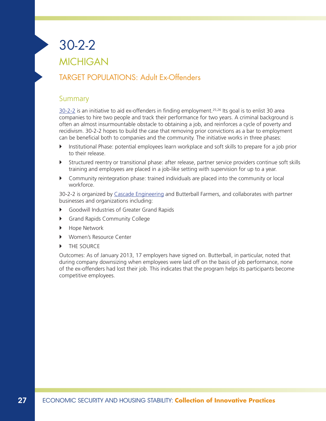# 30-2-2 MICHIGAN

### TARGET POPULATIONS: Adult Ex-Offenders

#### Summary

[30-2-2](http://www.cascadeconsultinggroup.com/30-2-2) is an initiative to aid ex-offenders in finding employment.25,26 Its goal is to enlist 30 area companies to hire two people and track their performance for two years. A criminal background is often an almost insurmountable obstacle to obtaining a job, and reinforces a cycle of poverty and recidivism. 30-2-2 hopes to build the case that removing prior convictions as a bar to employment can be beneficial both to companies and the community. The initiative works in three phases:

- ` Institutional Phase: potential employees learn workplace and soft skills to prepare for a job prior to their release.
- ` Structured reentry or transitional phase: after release, partner service providers continue soft skills training and employees are placed in a job-like setting with supervision for up to a year.
- ` Community reintegration phase: trained individuals are placed into the community or local workforce.

30-2-2 is organized by [Cascade Engineering](http://www.cascadeconsultinggroup.com/) and Butterball Farmers, and collaborates with partner businesses and organizations including:

- ` Goodwill Industries of Greater Grand Rapids
- **•** Grand Rapids Community College
- ▶ Hope Network
- ` Women's Resource Center
- THE SOURCE

Outcomes: As of January 2013, 17 employers have signed on. Butterball, in particular, noted that during company downsizing when employees were laid off on the basis of job performance, none of the ex-offenders had lost their job. This indicates that the program helps its participants become competitive employees.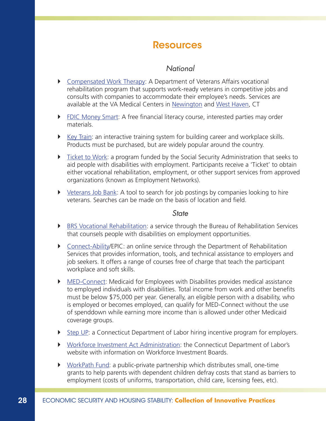### **Resources**

#### *National*

- [Compensated Work Therapy](http://www.va.gov/health/cwt/): A Department of Veterans Affairs vocational rehabilitation program that supports work-ready veterans in competitive jobs and consults with companies to accommodate their employee's needs. Services are available at the VA Medical Centers in [Newington](http://www.connecticut.va.gov/locations/Newington_Campus.asp) and [West Haven](http://http://www2.va.gov/directory/guide/facility.asp?id=633), CT
- **FILMONEY SMARTED FINANCES FINANCES FINANCES FINANCES FINANCES** FINANCET FINANCET FINANCET FINANCET FINANCET FINANCET FINANCET FINANCET FINANCET FINANCET FINANCET FINANCET FINANCET FINANCET FINANCET FINANCET FINANCET FINAN materials.
- $\blacktriangleright$  [Key Train](http://www.keytrain.com/): an interactive training system for building career and workplace skills. Products must be purchased, but are widely popular around the country.
- $\triangleright$  [Ticket to Work](http://www.choosework.net/): a program funded by the Social Security Administration that seeks to aid people with disabilities with employment. Participants receive a 'Ticket' to obtain either vocational rehabilitation, employment, or other support services from approved organizations (known as Employment Networks).
- $\triangleright$  [Veterans Job Bank](https://www.nrd.gov/home/veterans_job_bank): A tool to search for job postings by companies looking to hire veterans. Searches can be made on the basis of location and field.

#### *State*

- **EXECT ATTS:** [BRS Vocational Rehabilitation](http://www.ct.gov/brs/cwp/view.asp?a=3890&q=461416): a service through the Bureau of Rehabilitation Services that counsels people with disabilities on employment opportunities.
- ` [Connect-Ability](http://www.ct.gov/connect-ability/site/default.asp)/EPIC: an online service through the Department of Rehabilitation Services that provides information, tools, and technical assistance to employers and job seekers. It offers a range of courses free of charge that teach the participant workplace and soft skills.
- ` [MED-Connect](http://www.ct.gov/dss/cwp/view.asp?A=2353&Q=305220): Medicaid for Employees with Disabilites provides medical assistance to employed individuals with disabilities. Total income from work and other benefits must be below \$75,000 per year. Generally, an eligible person with a disability, who is employed or becomes employed, can qualify for MED-Connect without the use of spenddown while earning more income than is allowed under other Medicaid coverage groups.
- **F** [Step UP](http://www.ctdol.state.ct.us/StepUp/): a Connecticut Department of Labor hiring incentive program for employers.
- ` [Workforce Investment Act Administration](http://www.ctdol.state.ct.us/DOLWORK/wia.htm): the Connecticut Department of Labor's website with information on Workforce Investment Boards.
- ▶ [WorkPath Fund](http://www.workforcealliance.biz/workpath.html): a public-private partnership which distributes small, one-time grants to help parents with dependent children defray costs that stand as barriers to employment (costs of uniforms, transportation, child care, licensing fees, etc).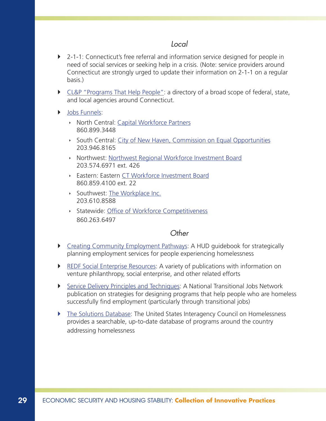#### *Local*

- ` 2-1-1: Connecticut's free referral and information service designed for people in need of social services or seeking help in a crisis. (Note: service providers around Connecticut are strongly urged to update their information on 2-1-1 on a regular basis.)
- [CL&P "Programs That Help People":](https://www.cl-p.com/downloads/Programs%20That%20Help%20People%20Booklet.pdf?id=4294986830&dl=t) a directory of a broad scope of federal, state, and local agencies around Connecticut.
- **Did** [Jobs Funnels](http://www.ctdol.state.ct.us/OWC/JobsFunnelFacts.pdf):
	- **North Central: [Capital Workforce Partners](http://www.capitalworkforce.org/)** 860.899.3448
	- South Central: [City of New Haven, Commission on Equal Opportunities](http://www.cityofnewhaven.com/equalopportunities/index.asp) 203.946.8165
	- **Northwest: [Northwest Regional Workforce Investment Board](http://www.nrwib.org/)** 203.574.6971 ext. 426
	- **Eastern: Eastern [CT Workforce Investment Board](http://www.ewib.org/)** 860.859.4100 ext. 22
	- Southwest: [The Workplace Inc.](http://www.workplace.org/) 203.610.8588
	- **Statewide: [Office of Workforce Competitiveness](http://www.ctdol.state.ct.us/OWC/)** 860.263.6497

#### *Other*

- **EXECT** [Creating Community Employment Pathways:](https://www.onecpd.info/resources/documents/CEPGuidebook.pdf) A HUD guidebook for strategically planning employment services for people experiencing homelessness
- **EXELGE** Social Enterprise Resources: A variety of publications with information on venture philanthropy, social enterprise, and other related efforts
- [Service Delivery Principles and Techniques](http://www.heartlandalliance.org/ntjn/ntjn-weh-principles-1-24-2012.pdf): A National Transitional Jobs Network publication on strategies for designing programs that help people who are homeless successfully find employment (particularly through transitional jobs)
- ` [The Solutions Database](http://www.usich.gov/usich_resources/solutions/): The United States Interagency Council on Homelessness provides a searchable, up-to-date database of programs around the country addressing homelessness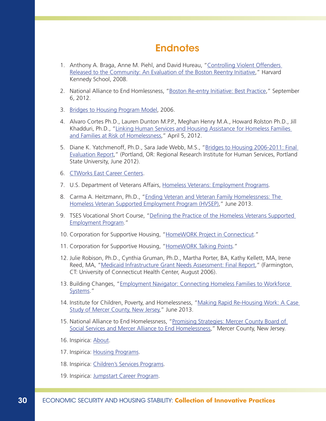### **Endnotes**

- 1. Anthony A. Braga, Anne M. Piehl, and David Hureau, ["Controlling Violent Offenders](http://www.hks.harvard.edu/var/ezp_site/storage/fckeditor/file/pdfs/centers-programs/centers/rappaport/workingpapers/braga_BRI_final.pdf)  [Released to the Community: An Evaluation of the Boston Reentry Initiative](http://www.hks.harvard.edu/var/ezp_site/storage/fckeditor/file/pdfs/centers-programs/centers/rappaport/workingpapers/braga_BRI_final.pdf)," Harvard Kennedy School, 2008.
- 2. National Alliance to End Homlessness, ["Boston Re-entry Initiative: Best Practice,](http://www.endhomelessness.org/page/-/files/BRI%20Best%20Practice%20-%20Re-entry_4.pdf)" September 6, 2012.
- 3. [Bridges to Housing Program Model](http://www.bridgestohousing.org/progmodel.php), 2006.
- 4. Alvaro Cortes Ph.D., Lauren Dunton M.P.P., Meghan Henry M.A., Howard Rolston Ph.D., Jill Khadduri, Ph.D., ["Linking Human Services and Housing Assistance for Homeless Families](http://aspe.hhs.gov/hsp/12/linkingservices2homelessfamilies/index.pdf)  [and Families at Risk of Homelessness,](http://aspe.hhs.gov/hsp/12/linkingservices2homelessfamilies/index.pdf)" April 5, 2012.
- 5. Diane K. Yatchmenoff, Ph.D., Sara Jade Webb, M.S., "[Bridges to Housing 2006-2011: Final](http://www.bridgestohousing.org/B2H_Final_Report_070512.pdf)  [Evaluation Report,](http://www.bridgestohousing.org/B2H_Final_Report_070512.pdf)" (Portland, OR: Regional Research Institute for Human Services, Portland State University, June 2012).
- 6. [CTWorks East Career Centers.](http://www.ewib.org/default.aspx?tabid=64)
- 7. U.S. Department of Veterans Affairs, [Homeless Veterans: Employment Programs.](http://www.va.gov/homeless/employment_programs.asp)
- 8. Carma A. Heitzmann, Ph.D., "[Ending Veteran and Veteran Family Homelessness: The](http://www.pschousing.org/files/IForum_2013_6_19_Carma-HVSEP%20Slide%20show%202013.pdf)  [Homeless Veteran Supported Employment Program \(HVSEP\),](http://www.pschousing.org/files/IForum_2013_6_19_Carma-HVSEP%20Slide%20show%202013.pdf)" June 2013.
- 9. TSES Vocational Short Course, ["Defining the Practice of the Homeless Veterans Supported](http://www.pawomenvets.org/pwvshomelessvets.pdf)  [Employment Program](http://www.pawomenvets.org/pwvshomelessvets.pdf)."
- 10. Corporation for Supportive Housing, ["HomeWORK Project in Connecticut.](http://www.csh.org/csh-solutions/community-work/community-initiatives/homework-in-ct/)"
- 11. Corporation for Supportive Housing, ["HomeWORK Talking Points](http://www.csh.org/wp-content/uploads/2011/12/Report_HomeworkTalkingPoints1.pdf)."
- 12. Julie Robison, Ph.D., Cynthia Gruman, Ph.D., Martha Porter, BA, Kathy Kellett, MA, Irene Reed, MA, "[Medicaid Infrastructure Grant Needs Assessment: Final Report](http://www.nchsd.org/libraryfiles/Employers/UConnMIGNeedsAssessmentAug06EmployerSurveyExcerpts.pdf)," (Farmington, CT: University of Connecticut Health Center, August 2006).
- 13. Building Changes, ["Employment Navigator: Connecting Homeless Families to Workforce](http://www.buildingchanges.org/images/documents/library/2013%20Employment%20Navigator%20Connecting%20Homeless%20Families%20to%20Workforce%20Systems.pdf)  [Systems](http://www.buildingchanges.org/images/documents/library/2013%20Employment%20Navigator%20Connecting%20Homeless%20Families%20to%20Workforce%20Systems.pdf)."
- 14. Institute for Children, Poverty, and Homelessness, ["Making Rapid Re-Housing Work: A Case](http://www.icphusa.org/filelibrary/ICPH_policybrief_MakingRapidRe-HousingWork.pdf)  [Study of Mercer County, New Jersey](http://www.icphusa.org/filelibrary/ICPH_policybrief_MakingRapidRe-HousingWork.pdf)," June 2013.
- 15. National Alliance to End Homelessness, "Promising Strategies: Mercer County Board of [Social Services and Mercer Alliance to End Homelessness](http://www.merceralliance.org/pdf/promising-strategies.pdf)," Mercer County, New Jersey.
- 16. [Inspirica: About](http://inspiricact.org/about-inspirica/).
- 17. [Inspirica: Housing Programs](http://inspiricact.org/housing-programs/).
- 18. [Inspirica: Children's Services Programs](http://inspiricact.org/PDF/1%2013%20Inspirica%20Childrens%20Services%20vWeb.pdf).
- 19. [Inspirica: Jumpstart Career Program](http://inspiricact.org/wp-content/uploads/2012/11/4-29-Inspirica-Jumpstart-UPDATED.pdf).